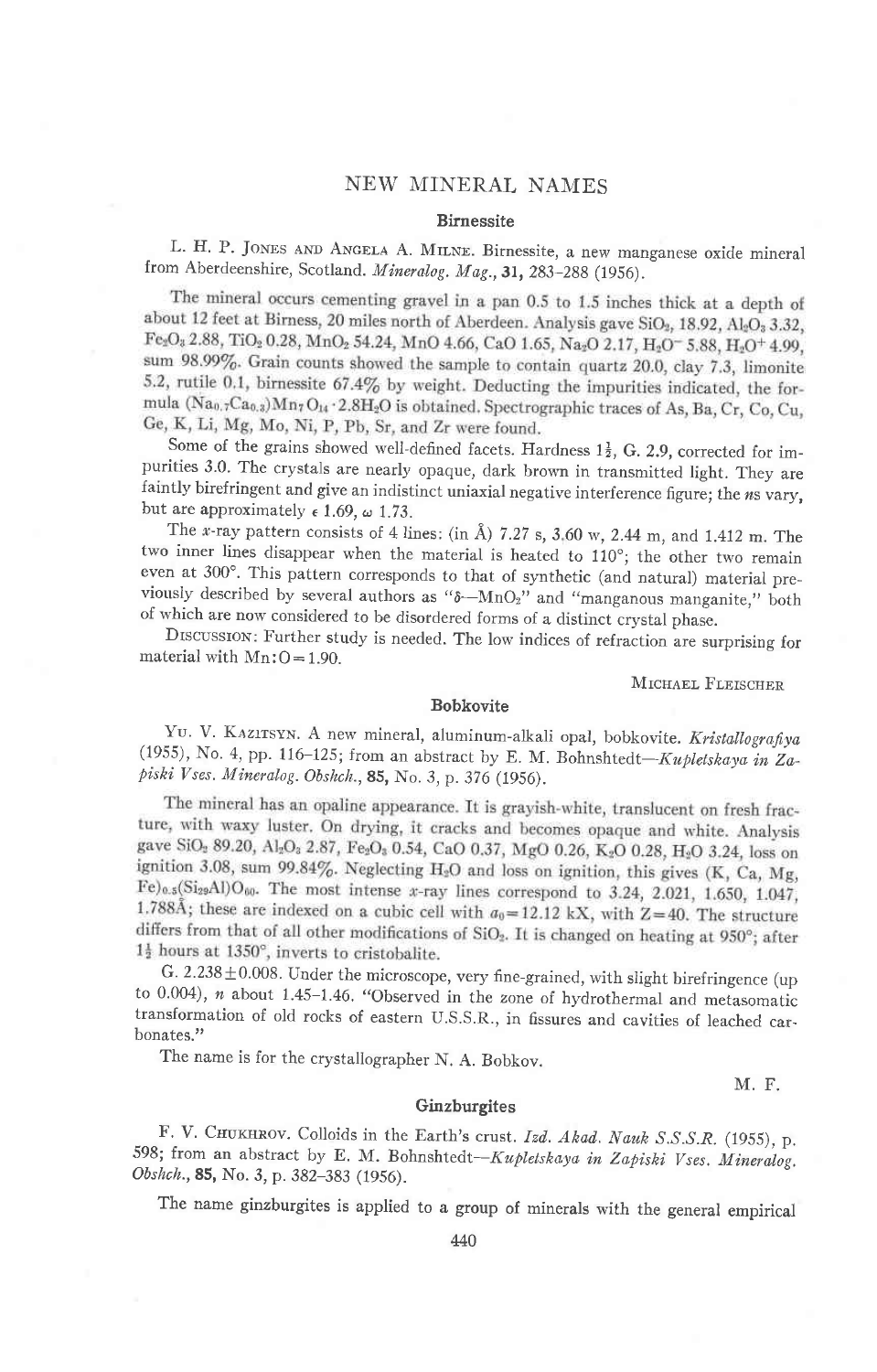## NEW MINERAL NAMES

### **Birnessite**

L. H. P. JONES AND ANGELA A. MILNE. Birnessite, a new manganese oxide mineral from Aberdeenshire, Scotland. Mineralog. Mag., 31, 283-288 (1956).

The mineral occurs cementing gravel in a pan 0.5 to 1.5 inches thick at a depth of about 12 feet at Birness, 20 miles north of Aberdeen. Analysis gave SiO<sub>2</sub>, 18.92, Al<sub>2</sub>O<sub>2</sub> 3.32, Fe2O<sub>3</sub> 2.88, TiO<sub>2</sub> 0.28, MnO<sub>2</sub> 54.24, MnO 4.66, CaO 1.65, Na<sub>2</sub>O 2.17, H<sub>2</sub>O<sup>-</sup>5.88, H<sub>2</sub>O<sup>+</sup> 4.99, sum 98.99%. Grain counts showed the sample to contain quartz 20.0, clay 7.3, limonite 5.2, rutile 0.1, birnessite 67.4% by weight. Deducting the impurities indicated, the formula (Nao, rCao, 3) Mn7 O14 . 2.8H<sub>2</sub>O is obtained. Spectrographic traces of As, Ba, Cr, Co, Cu, Ge, K, Li, Mg, Mo, Ni, P, Pb, Sr, and Zr were found.

Some of the grains showed well-defined facets. Hardness  $1\frac{1}{2}$ , G. 2.9, corrected for impurities 3.0. The crystals are nearly opaque, dark brown in transmitted light. They are faintly birefringent and give an indistinct uniaxial negative interference figure; the ns vary, but are approximately  $\epsilon$  1.69,  $\omega$  1.73.

The x-ray pattern consists of 4 lines: (in  $\AA$ ) 7.27 s, 3.60 w, 2.44 m, and 1.412 m. The two inner lines disappear when the material is heated to 110°; the other two remain even at 300°. This pattern corresponds to that of synthetic (and natural) material previously described by several authors as " $\delta - MnO_2$ " and "manganous manganite," both of which are now considered to be disordered forms of a distinct crystal phase.

DISCUSSION: Further study is needed. The low indices of refraction are surprising for material with  $Mn:O=1.90$ .

MICHAEL FLEISCHER

#### **Bobkovite**

YU. V. KAZITSYN. A new mineral, aluminum-alkali opal, bobkovite. Kristallografiya (1955), No. 4, pp. 116-125; from an abstract by E. M. Bohnshtedt-Kupletskaya in Zapiski Vses. Mineralog. Obshch., 85, No. 3, p. 376 (1956).

The mineral has an opaline appearance. It is grayish-white, translucent on fresh fracture, with waxy luster. On drying, it cracks and becomes opaque and white. Analysis gave SiO<sub>2</sub> 89.20, Al<sub>2</sub>O<sub>2</sub> 2.87, Fe<sub>2</sub>O<sub>3</sub> 0.54, CaO 0.37, MgO 0.26, K<sub>2</sub>O 0.28, H<sub>2</sub>O 3.24, loss on ignition 3.08, sum 99.84%. Neglecting H<sub>2</sub>O and loss on ignition, this gives (K, Ca, Mg,  $Fe)_{0.5}$ (Si<sub>29</sub>Al)O<sub>60</sub>. The most intense x-ray lines correspond to 3.24, 2.021, 1.650, 1.047, 1.788Å; these are indexed on a cubic cell with  $a_0 = 12.12$  kX, with Z=40. The structure differs from that of all other modifications of SiO<sub>2</sub>. It is changed on heating at 950°; after  $1\frac{1}{2}$  hours at 1350°, inverts to cristobalite.

G.  $2.238 \pm 0.008$ . Under the microscope, very fine-grained, with slight birefringence (up to  $0.004$ ),  $n$  about 1.45-1.46. "Observed in the zone of hydrothermal and metasomatic transformation of old rocks of eastern U.S.S.R., in fissures and cavities of leached carbonates."

The name is for the crystallographer N. A. Bobkov.

M. F.

### Ginzburgites

F. V. CHUKHROV. Colloids in the Earth's crust. Izd. Akad. Nauk S.S.S.R. (1955), p. 598; from an abstract by E. M. Bohnshtedt-Kupletskaya in Zapiski Vses. Mineralog. Obshch., 85, No. 3, p. 382-383 (1956).

The name ginzburgites is applied to a group of minerals with the general empirical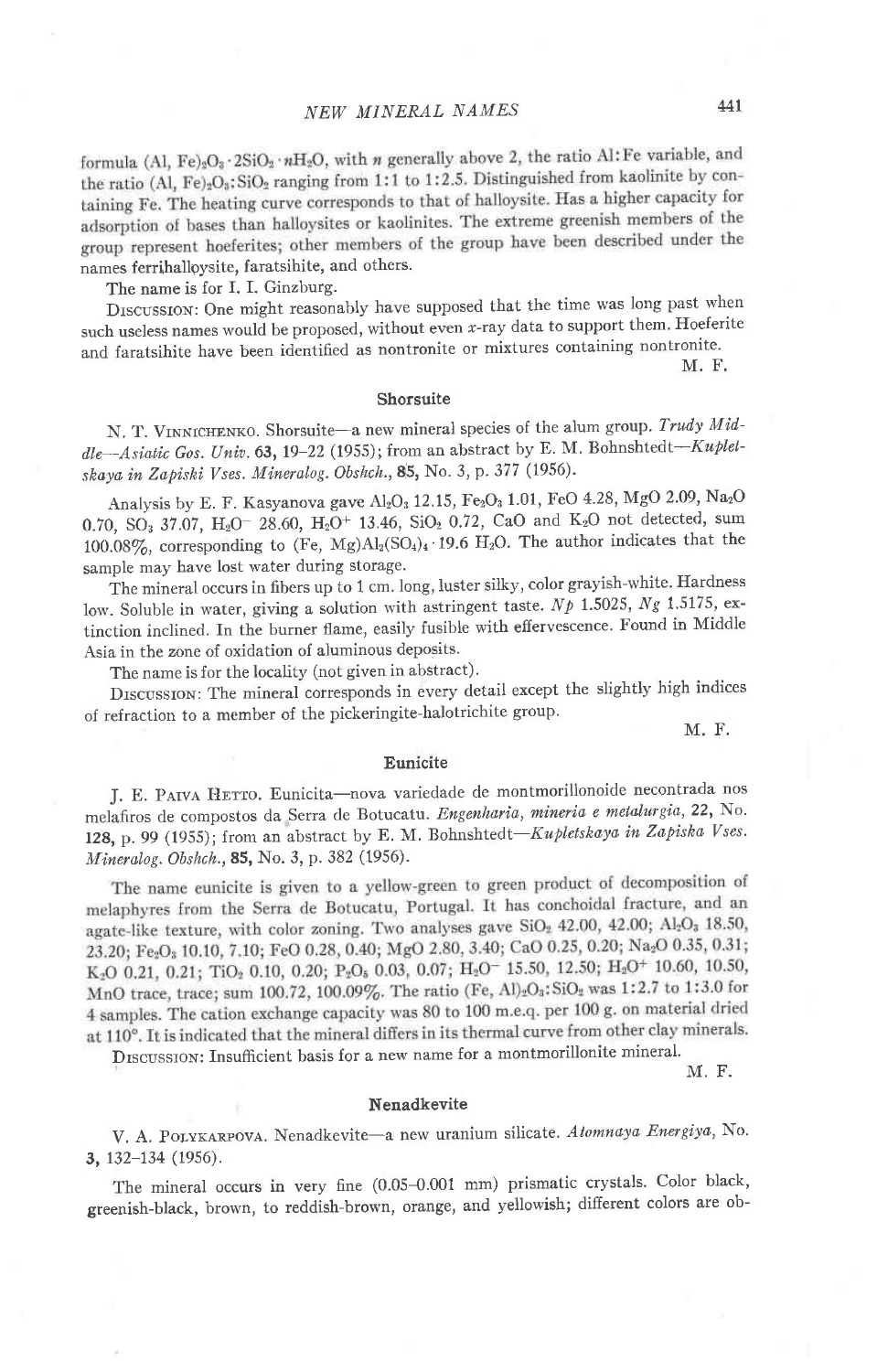formula (Al, Fe)<sub>2</sub>O<sub>3</sub> · 2SiO<sub>2</sub> · nH<sub>2</sub>O, with *n* generally above 2, the ratio Al: Fe variable, and the ratio (Al, Fe)<sub>2</sub>O<sub>3</sub>: SiO<sub>2</sub> ranging from 1:1 to 1:2.5. Distinguished from kaolinite by containing Fe. The heating curve corresponds to that of halloysite. Has a higher capacity for adsorption of bases than halloysites or kaolinites. The extreme greenish members of the group represent hoeferites; other members of the group have been described under the names ferrihalloysite, faratsihite, and others.

The name is for I. I. Ginzburg.

Drscussrow: One might reasonably have supposed that the time was long past when such useless names would be proposed, without even  $x$ -ray data to support them. Hoeferite and faratsihite have been identified as nontronite or mixtures containing nontronite.

M. F.

## Shorsuite

N. T. VINNICHENKO. Shorsuite-a new mineral species of the alum group. Trudy Middle-Asiatic Gos. Univ. 63, 19-22 (1955); from an abstract by E. M. Bohnshtedt-Kupletskaya in Zapiski Vses. Mineralog. Obshch., 85, No. 3, p. 377 (1956).

Analysis by E. F. Kasyanova gave Al<sub>2</sub>O<sub>3</sub> 12.15, Fe<sub>2</sub>O<sub>3</sub> 1.01, FeO 4.28, MgO 2.09, Na<sub>2</sub>O 0.70, SO<sub>3</sub> 37.07, H<sub>2</sub>O<sup>-</sup> 28.60, H<sub>2</sub>O<sup>+</sup> 13.46, SiO<sub>2</sub> 0.72, CaO and K<sub>2</sub>O not detected, sum 100.08%, corresponding to (Fe, Mg)Al<sub>2</sub>(SO<sub>4</sub>)<sub>4</sub> · 19.6 H<sub>2</sub>O. The author indicates that the sample may have lost water during storage.

The mineral occurs in fibers up to 1 cm. long, luster silky, color grayish-white. Hardness low. Soluble in water, giving a solution with astringent taste.  $Np$  1.5025,  $Ng$  1.5175, extinction inclined. In the burner flame, easily fusible with effervescence. Found in Middle Asia in the zone of oxidation of aluminous deposits.

The name is for the locality (not given in abstract).

DISCUSSION: The mineral corresponds in every detail except the slightly high indices of refraction to a member of the pickeringite-halotrichite group.

M. F.

#### Eunicite

J. E. PAIVA HETTO. Eunicita-nova variedade de montmorillonoide necontrada nos melafiros de compostos da Serra de Botucatu. Engenharia, mineria e metalurgia, 22, No. 128, p. 99 (1955); from an abstract by E. M. Bohnshtedt-Kupletskaya in Zapiska Vses. Mineralog. Obshch.,85, No. 3, p. 382 (1956).

The name eunicite is given to a yellow-green to green product of decomposition of melaphyres from the Serra de Botucatu, Portugal. It has conchoidal fracture, and an agate-like texture, with color zoning. Two analyses gave SiO<sub>2</sub> 42.00, 42.00; Al<sub>2</sub>O<sub>3</sub> 18.50, 23.20; Fe2O3 10.10, 7.10; FeO 0.28, 0.40; MgO 2.80, 3.40; CaO 0.25, 0.20; Na2O 0.35, 0.31;  $K_2O$  0.21, 0.21; TiO<sub>2</sub> 0.10, 0.20; P<sub>2</sub>O<sub>5</sub> 0.03, 0.07; H<sub>2</sub>O<sup>-</sup> 15.50, 12.50; H<sub>2</sub>O<sup>+</sup> 10.60, 10.50, MnO trace, trace; sum 100.72, 100.09%. The ratio (Fe, Al)2O3: SiO2 was 1:2.7 to 1:3.0 for 4 samples. The cation exchange capacity was 80 to 100 m.e.q. per 100 g. on material dried at 110°. It is indicated that the mineral differs in its thermal curve from other clay minerals.<br>DISCUSSION: Insufficient basis for a new name for a montmorillonite mineral.

M. F.

#### Nenadkevite

V. A. POLYKARPOVA. Nenadkevite-a new uranium silicate. Atomnaya Energiya, No. 3, 132-134 (1956).

The mineral occurs in very fine (0.05-0.001 mm) prismatic crystals. Color black, greenish-black, brown, to reddish-brown, orange, and yellowish; different colors are ob-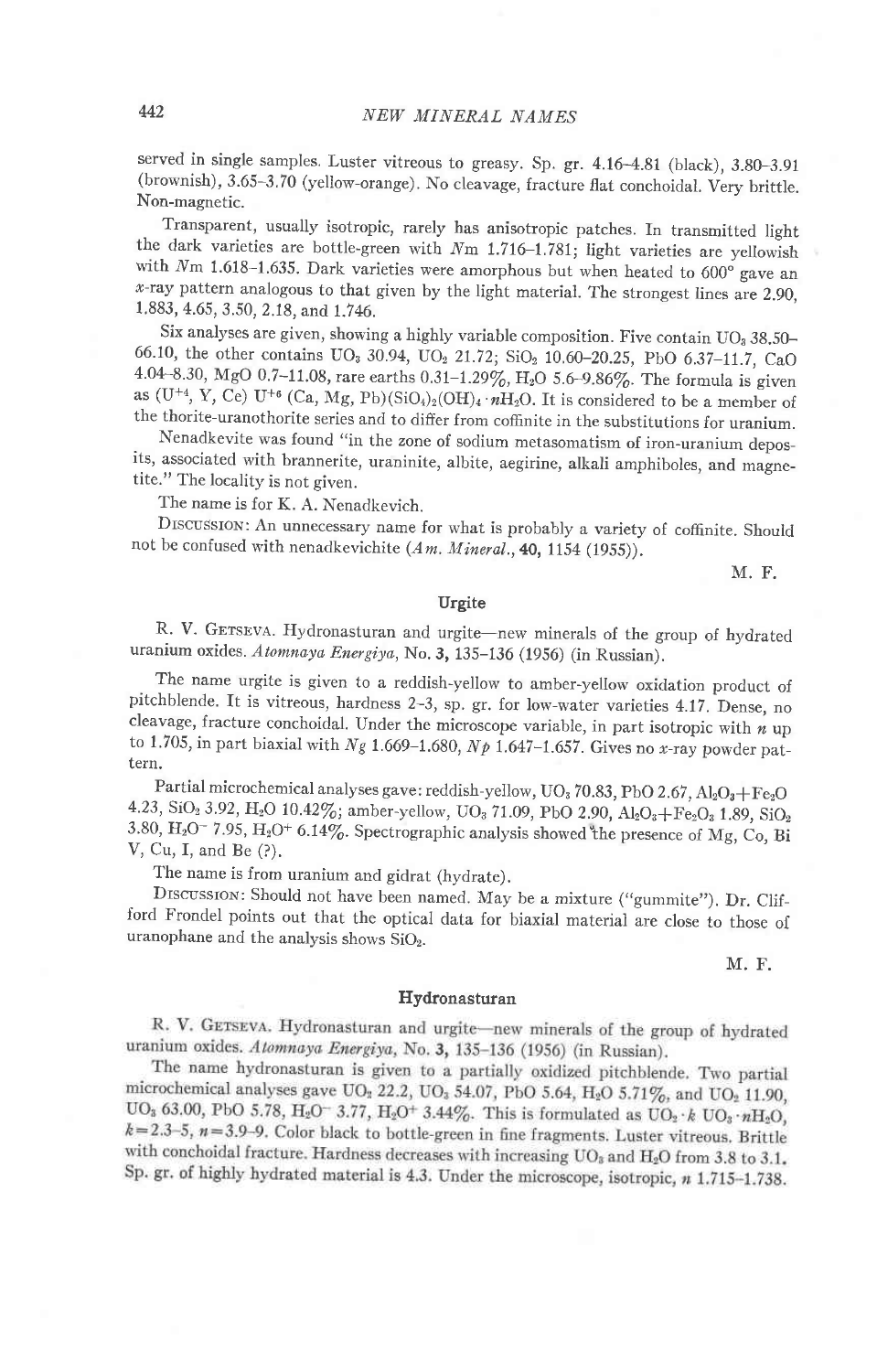served in single samples. Luster vitreous to greasy. Sp. gr. 4.16-4.81 (black), 3.80-3.91 (brownish), 3.65-3.70 (yellow-orange). No cleavage, fracture flat conchoidal. Very brittle. Non-magnetic.

the dark varieties are bottle-green with Nm 1.716-1.781; light varieties are yellowish Transparent, usually isotropic, rarely has anisotropic patches. In transmitted light with  $Nm$  1.618-1.635. Dark varieties were amorphous but when heated to 600° gave an  $x$ -ray pattern analogous to that given by the light material. The strongest lines are 2.90, 1.883, 4.65, 3.50, 2.18, and 1.746.

Six analyses are given, showing a highly variable composition. Five contain UO<sub>3</sub> 38.50-66.10, the other contains  $UO_3$  30.94,  $UO_2$  21.72;  $SiO_2$  10.60–20.25, PbO 6.37–11.7, CaO<br>4.04.8.20, M.C.O.5.44.00 4.04-8.30, MgO 0.7-11.08, rare earths 0.31-1.29%, H<sub>2</sub>O 5.6-9.86%. The formula is given as (U<sup>+4</sup>, Y, Ce) U<sup>+6</sup> (Ca, Mg, Pb)(SiO<sub>4</sub>)<sub>2</sub>(OH)<sub>4</sub>.  $nH<sub>2</sub>O$ . It is considered to be a member of the thorite-uranothorite series and to differ from coffinite in the substitutions for uranium.

Nenadkevite was found "in the zone of sodium metasomatism of iron-uranium deposits, associated with brannerite, uraninite, albite, aegirine, alkali amphiboles, and magnetite." The locality is not given.

The name is for K. A. Nenadkevich.

Drscussrox: An unnecessary name for what is probably a variety of coffinite, shouid not be confused with nenadkevichite  $(Am.$  Mineral., 40, 1154 (1955)).

M. F.

#### Urgite

R. V. GETSEVA. Hydronasturan and urgite-new minerals of the group of hydrated uranium oxides. Atomnaya Energiya, No. 3, 135-136 (1956) (in Russian).

The name urgite is given to a reddish-yellow to amber-yellow oxidation product of pitchblende. It is vitreous, hardness 2-3, sp. gr. for low-water varieties 4.17. Dense, no cleavage, fracture conchoidal. Under the microscope variable, in part isotropic with  $n$  up to 1.705, in part biaxial with  $Ng$  1.669-1.680,  $Np$  1.647-1.657. Gives no x-ray powder pattern.

Partial microchemical analyses gave: reddish-yellow, UO<sub>3</sub> 70.83, PbO 2.67, Al<sub>2</sub>O<sub>3</sub>+Fe<sub>2</sub>O 4.23, SiO<sub>2</sub> 3.92, H<sub>2</sub>O 10.42%; amber-yellow, UO<sub>3</sub> 71.09, PbO 2.90, Al<sub>2</sub>O<sub>3</sub>+Fe<sub>2</sub>O<sub>3</sub> 1.89, SiO<sub>2</sub> 3.80, H<sub>2</sub>O<sup>-</sup> 7.95, H<sub>2</sub>O<sup>+</sup> 6.14%. Spectrographic analysis showed the presence of Mg, Co, Bi V, Cu, f, and Be (?).

The name is from uranium and gidrat (hydrate).

DISCUSSION: Should not have been named. May be a mixture ("gummite"). Dr. Clifford Frondel points out that the optical data for biaxial material are close to those of uranophane and the analysis shows SiOz.

M. F.

#### Hydronasturan

R. V. GETSEVA. Hydronasturan and urgite-new minerals of the group of hydrated uranium oxides. Atomnaya Energiya, No. 3, 135-136 (1956) (in Russian).

The name hydronasturan is given to a partially oxidized pitchblende. Two partial microchemical analyses gave  $UO_2$  22.2,  $UO_3$  54.07, PbO 5.64, H<sub>2</sub>O 5.71%, and  $UO_2$  11.90, UO<sub>3</sub> 63.00, PbO 5.78, H<sub>2</sub>O<sup>-</sup> 3.77, H<sub>2</sub>O<sup>+</sup> 3.44%. This is formulated as UO<sub>2</sub> · k UO<sub>3</sub> · nH<sub>2</sub>O<sub>3</sub>  $k=2.3-5$ ,  $n=3.9-9$ . Color black to bottle-green in fine fragments. Luster vitreous. Brittle with conchoidal fracture. Hardness decreases with increasing  $UO_8$  and  $H_2O$  from 3.8 to 3.1. Sp. gr. of highly hydrated material is 4.3. Under the microscope, isotropic, n 1.715-1.738.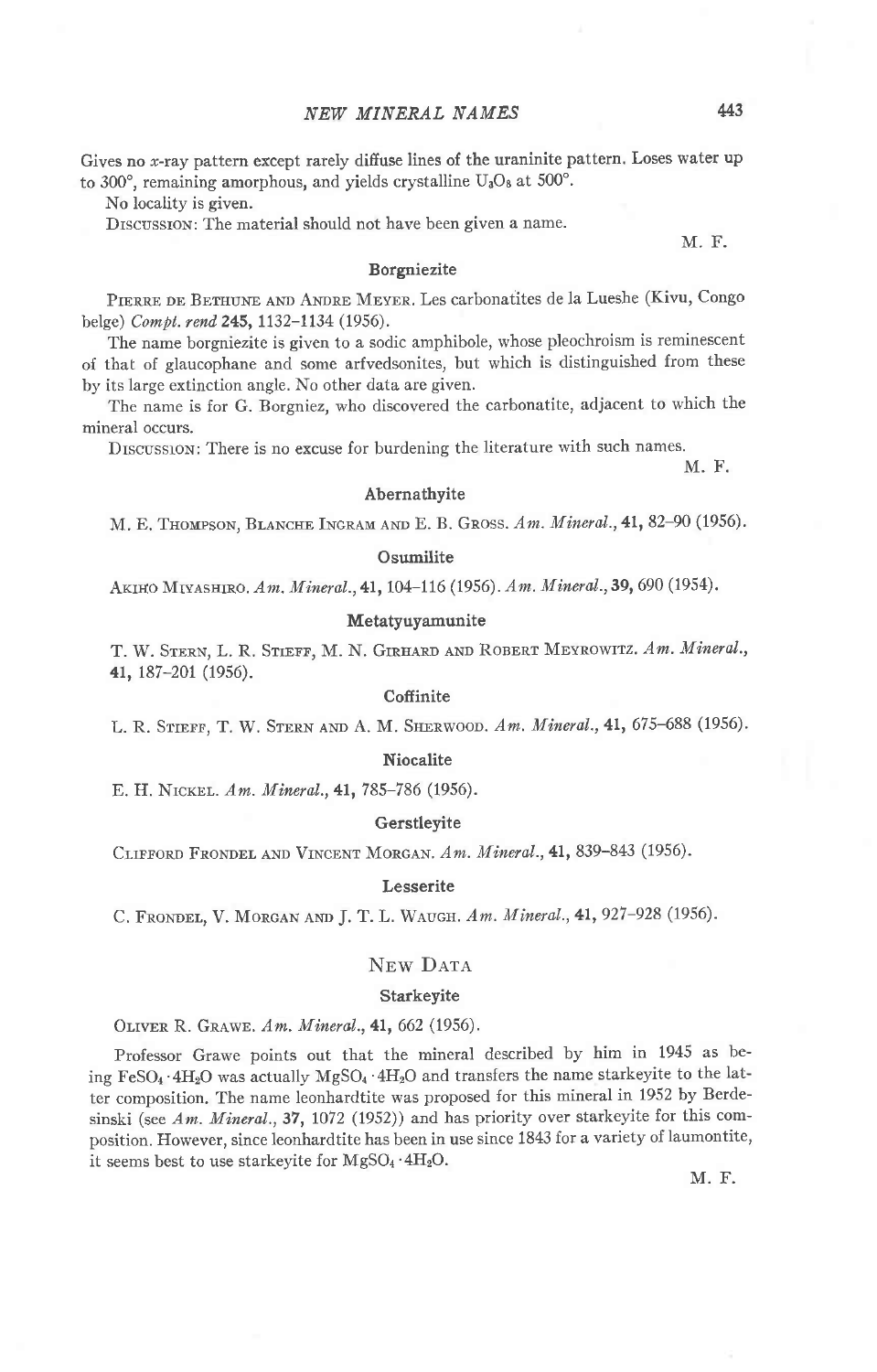Gives no x-ray pattern except rarely diffuse lines of the uraninite pattern. Loses water up to 300°, remaining amorphous, and yields crystalline  $U_3O_8$  at 500°.

No locality is given.

Drscussrox: The material should not have been given a name.

M. F.

## Borgniezite

PIERRE DE BETHUNE AND ANDRE MEYER. Les carbonatites de la Lueshe (Kivu, Congo belge) Compt. rend 245, 1132-1134 (1956).

The name borgniezite is given to a sodic amphibole, whose pleochroism is reminescent of that of glaucophane and some arfvedsonites, but which is distinguished from these by its large extinction angle. No other data are given.

The name is for G. Borgniez, who discovered the carbonatite, adjacent to which the mineral occurs.

DISCUSSION: There is no excuse for burdening the literature with such names.

M. F.

### Abernathyite

M. E. THOMPSON, BLANCHE INGRAM AND E. B. GROSS. Am. Mineral., 41, 82-90 (1956).

## **Osumilite**

AKIHO MIYASHIRO. Am. Mineral., 41, 104-116 (1956). Am. Mineral., 39, 690 (1954).

## Metatyuyamunite

T. W. STERN, L. R. STIEFF, M. N. GIRHARD AND ROBERT MEYROWITZ. Am. Mineral., 41, 187-201 (1956).

## **Coffinite**

L. R. STIEFF, T. W. STERN AND A. M. SHERWOOD. Am. Mineral., 41, 675-688 (1956).

## Niocalite

E. H. NICKEL. Am. Mineral., 41, 785-786 (1956).

#### Gerstleyite

CLIFFORD FRONDEL AND VINCENT MORGAN. Am. Mineral., 41, 839-843 (1956).

## Lesserite

C. FRONDEL, V. MORGAN AND J. T. L. WAUGH. Am. Mineral., 41, 927-928 (1956).

# NEW DATA

## Starkeyite

OLIVER R. GRAWE. Am. Mineral., 41, 662 (1956).

Professor Grawe points out that the mineral described by him in 1945 as being FeSO<sub>4</sub> .4H<sub>2</sub>O was actually MgSO<sub>4</sub> .4H<sub>2</sub>O and transfers the name starkeyite to the latter composition. The name leonhardtite was proposed for this mineral in 1952 by Berdesinski (see Am. Mineral., 37, 1072 (1952)) and has priority over starkeyite for this composition. However, since leonhardtite has been in use since 1843 for a variety of laumontite, it seems best to use starkeyite for  $MgSO_4 \cdot 4H_2O$ .

M. F.